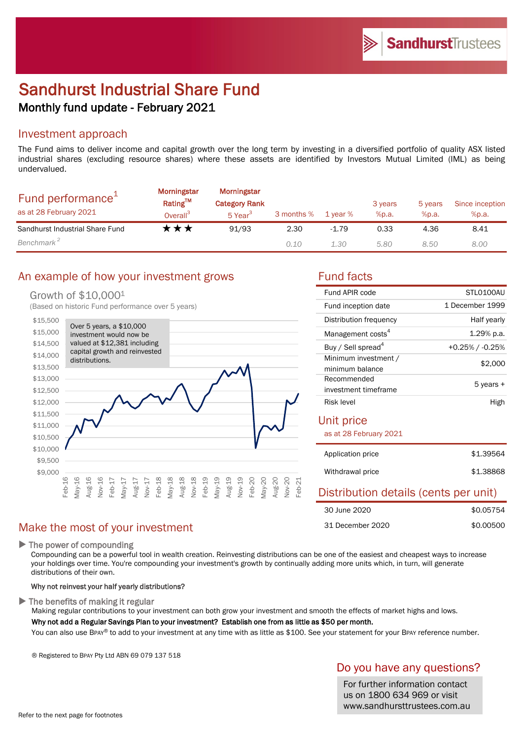# Sandhurst Industrial Share Fund Monthly fund update - February 2021

### Investment approach

The Fund aims to deliver income and capital growth over the long term by investing in a diversified portfolio of quality ASX listed industrial shares (excluding resource shares) where these assets are identified by Investors Mutual Limited (IML) as being undervalued.

| Fund performance <sup>+</sup><br>as at 28 February 2021 | <b>Morningstar</b><br>Rating™<br>Overall <sup>3</sup> | Morningstar<br><b>Category Rank</b><br>5 Year <sup>3</sup> | 3 months % | 1 vear % | 3 years<br>%p.a. | 5 years<br>%p.a. | Since inception<br>%p.a. |
|---------------------------------------------------------|-------------------------------------------------------|------------------------------------------------------------|------------|----------|------------------|------------------|--------------------------|
| Sandhurst Industrial Share Fund                         | ⊀★★                                                   | 91/93                                                      | 2.30       | $-1.79$  | 0.33             | 4.36             | 8.41                     |
| Benchmark <sup>2</sup>                                  |                                                       |                                                            | 0.10       | 1.30     | 5.80             | 8.50             | 8.00                     |

### An example of how your investment grows Tund facts

### Growth of \$10,0001

(Based on historic Fund performance over 5 years)



### Make the most of your investment

▶ The power of compounding

Compounding can be a powerful tool in wealth creation. Reinvesting distributions can be one of the easiest and cheapest ways to increase your holdings over time. You're compounding your investment's growth by continually adding more units which, in turn, will generate distributions of their own.

### Why not reinvest your half yearly distributions?

 $\blacktriangleright$  The benefits of making it regular

Making regular contributions to your investment can both grow your investment and smooth the effects of market highs and lows. Why not add a Regular Savings Plan to your investment? Establish one from as little as \$50 per month.

You can also use BPAY® to add to your investment at any time with as little as \$100. See your statement for your BPAY reference number.

® Registered to BPAY Pty Ltd ABN 69 079 137 518

### Do you have any questions?

For further information contact us on 1800 634 969 or visit www.sandhursttrustees.com.au

| Fund APIR code                          | STLO100AU       |  |  |  |  |
|-----------------------------------------|-----------------|--|--|--|--|
| Fund inception date                     | 1 December 1999 |  |  |  |  |
| Distribution frequency                  | Half yearly     |  |  |  |  |
| Management costs <sup>4</sup>           | 1.29% p.a.      |  |  |  |  |
| Buy / Sell spread <sup>4</sup>          | +0.25% / -0.25% |  |  |  |  |
| Minimum investment /<br>minimum balance | \$2,000         |  |  |  |  |
| Recommended<br>investment timeframe     | 5 years +       |  |  |  |  |
| Risk level                              | High            |  |  |  |  |
| Unit price                              |                 |  |  |  |  |
| as at 28 February 2021                  |                 |  |  |  |  |
| Application price                       | \$1.39564       |  |  |  |  |
| Withdrawal price                        | \$1.38868       |  |  |  |  |
| Distribution details (cents per unit)   |                 |  |  |  |  |
| 30 June 2020                            | \$0.05754       |  |  |  |  |
|                                         |                 |  |  |  |  |